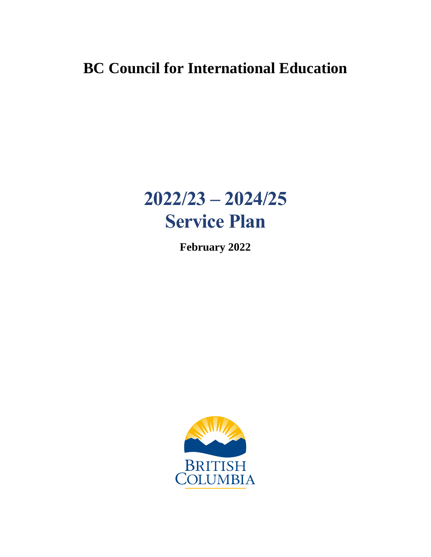# **BC Council for International Education**

# **2022/23 – 2024/25 Service Plan**

**February 2022**

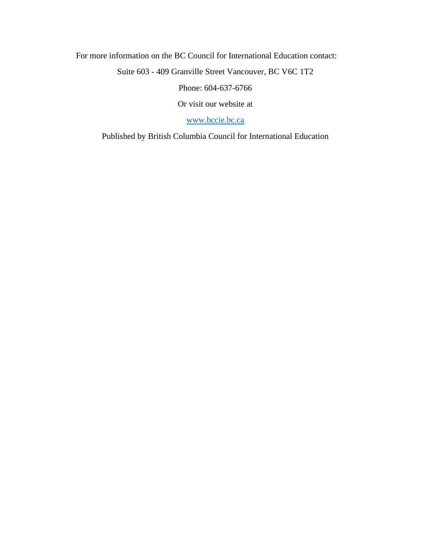For more information on the BC Council for International Education contact:

Suite 603 - 409 Granville Street Vancouver, BC V6C 1T2

Phone: 604-637-6766

Or visit our website at

[www.bccie.bc.ca](http://www.bccie.bc.ca/)

Published by British Columbia Council for International Education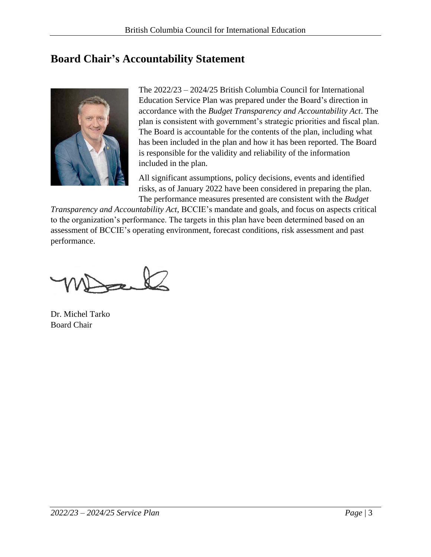# <span id="page-2-0"></span>**Board Chair's Accountability Statement**



The 2022/23 – 2024/25 British Columbia Council for International Education Service Plan was prepared under the Board's direction in accordance with the *Budget Transparency and Accountability Act*. The plan is consistent with government's strategic priorities and fiscal plan. The Board is accountable for the contents of the plan, including what has been included in the plan and how it has been reported. The Board is responsible for the validity and reliability of the information included in the plan.

All significant assumptions, policy decisions, events and identified risks, as of January 2022 have been considered in preparing the plan. The performance measures presented are consistent with the *Budget* 

*Transparency and Accountability Act*, BCCIE's mandate and goals, and focus on aspects critical to the organization's performance. The targets in this plan have been determined based on an assessment of BCCIE's operating environment, forecast conditions, risk assessment and past performance.

Dr. Michel Tarko Board Chair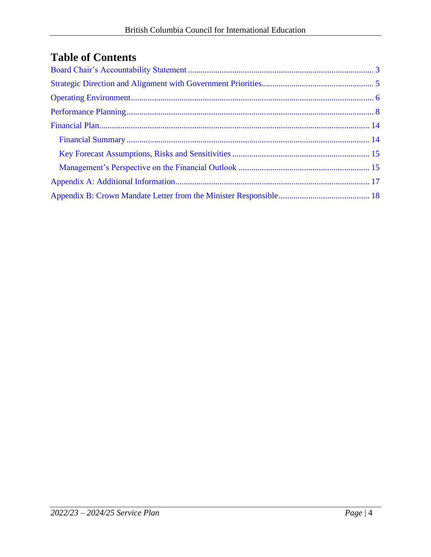# **Table of Contents**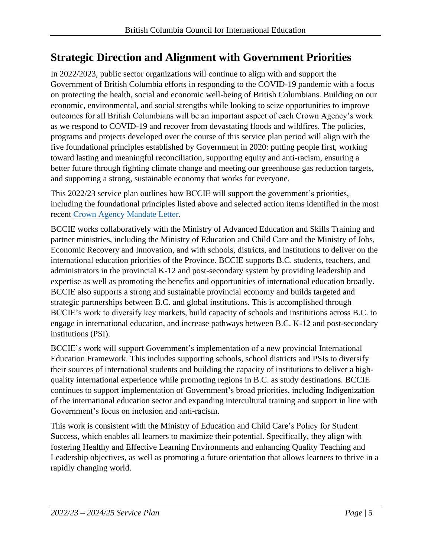# <span id="page-4-0"></span>**Strategic Direction and Alignment with Government Priorities**

In 2022/2023, public sector organizations will continue to align with and support the Government of British Columbia efforts in responding to the COVID-19 pandemic with a focus on protecting the health, social and economic well-being of British Columbians. Building on our economic, environmental, and social strengths while looking to seize opportunities to improve outcomes for all British Columbians will be an important aspect of each Crown Agency's work as we respond to COVID-19 and recover from devastating floods and wildfires. The policies, programs and projects developed over the course of this service plan period will align with the five foundational principles established by Government in 2020: putting people first, working toward lasting and meaningful reconciliation, supporting equity and anti-racism, ensuring a better future through fighting climate change and meeting our greenhouse gas reduction targets, and supporting a strong, sustainable economy that works for everyone.

This 2022/23 service plan outlines how BCCIE will support the government's priorities, including the foundational principles listed above and selected action items identified in the most recent [Crown Agency Mandate Letter.](#page-17-0)

BCCIE works collaboratively with the Ministry of Advanced Education and Skills Training and partner ministries, including the Ministry of Education and Child Care and the Ministry of Jobs, Economic Recovery and Innovation, and with schools, districts, and institutions to deliver on the international education priorities of the Province. BCCIE supports B.C. students, teachers, and administrators in the provincial K-12 and post-secondary system by providing leadership and expertise as well as promoting the benefits and opportunities of international education broadly. BCCIE also supports a strong and sustainable provincial economy and builds targeted and strategic partnerships between B.C. and global institutions. This is accomplished through BCCIE's work to diversify key markets, build capacity of schools and institutions across B.C. to engage in international education, and increase pathways between B.C. K-12 and post-secondary institutions (PSI).

BCCIE's work will support Government's implementation of a new provincial International Education Framework. This includes supporting schools, school districts and PSIs to diversify their sources of international students and building the capacity of institutions to deliver a highquality international experience while promoting regions in B.C. as study destinations. BCCIE continues to support implementation of Government's broad priorities, including Indigenization of the international education sector and expanding intercultural training and support in line with Government's focus on inclusion and anti-racism.

This work is consistent with the Ministry of Education and Child Care's Policy for Student Success, which enables all learners to maximize their potential. Specifically, they align with fostering Healthy and Effective Learning Environments and enhancing Quality Teaching and Leadership objectives, as well as promoting a future orientation that allows learners to thrive in a rapidly changing world.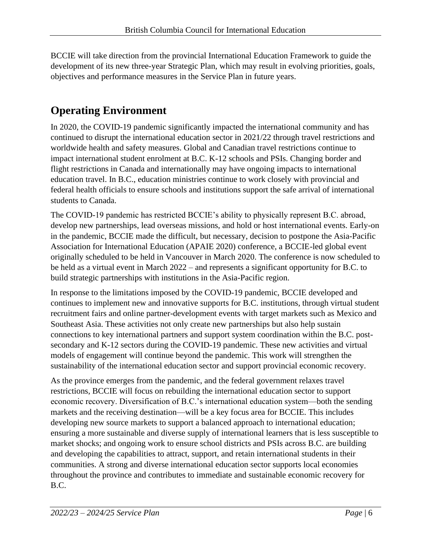BCCIE will take direction from the provincial International Education Framework to guide the development of its new three-year Strategic Plan, which may result in evolving priorities, goals, objectives and performance measures in the Service Plan in future years.

# <span id="page-5-0"></span>**Operating Environment**

In 2020, the COVID-19 pandemic significantly impacted the international community and has continued to disrupt the international education sector in 2021/22 through travel restrictions and worldwide health and safety measures. Global and Canadian travel restrictions continue to impact international student enrolment at B.C. K-12 schools and PSIs. Changing border and flight restrictions in Canada and internationally may have ongoing impacts to international education travel. In B.C., education ministries continue to work closely with provincial and federal health officials to ensure schools and institutions support the safe arrival of international students to Canada.

The COVID-19 pandemic has restricted BCCIE's ability to physically represent B.C. abroad, develop new partnerships, lead overseas missions, and hold or host international events. Early-on in the pandemic, BCCIE made the difficult, but necessary, decision to postpone the Asia-Pacific Association for International Education (APAIE 2020) conference, a BCCIE-led global event originally scheduled to be held in Vancouver in March 2020. The conference is now scheduled to be held as a virtual event in March 2022 – and represents a significant opportunity for B.C. to build strategic partnerships with institutions in the Asia-Pacific region.

In response to the limitations imposed by the COVID-19 pandemic, BCCIE developed and continues to implement new and innovative supports for B.C. institutions, through virtual student recruitment fairs and online partner-development events with target markets such as Mexico and Southeast Asia. These activities not only create new partnerships but also help sustain connections to key international partners and support system coordination within the B.C. postsecondary and K-12 sectors during the COVID-19 pandemic. These new activities and virtual models of engagement will continue beyond the pandemic. This work will strengthen the sustainability of the international education sector and support provincial economic recovery.

As the province emerges from the pandemic, and the federal government relaxes travel restrictions, BCCIE will focus on rebuilding the international education sector to support economic recovery. Diversification of B.C.'s international education system—both the sending markets and the receiving destination—will be a key focus area for BCCIE. This includes developing new source markets to support a balanced approach to international education; ensuring a more sustainable and diverse supply of international learners that is less susceptible to market shocks; and ongoing work to ensure school districts and PSIs across B.C. are building and developing the capabilities to attract, support, and retain international students in their communities. A strong and diverse international education sector supports local economies throughout the province and contributes to immediate and sustainable economic recovery for B.C.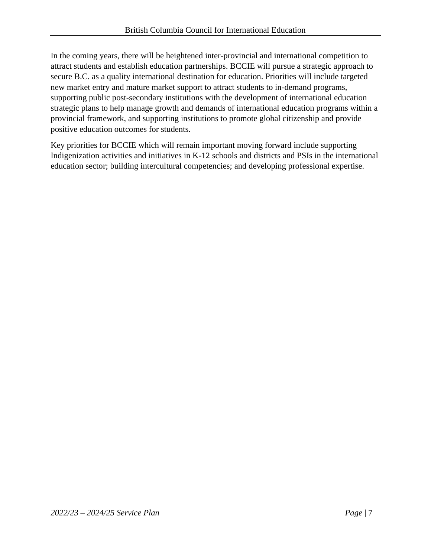In the coming years, there will be heightened inter-provincial and international competition to attract students and establish education partnerships. BCCIE will pursue a strategic approach to secure B.C. as a quality international destination for education. Priorities will include targeted new market entry and mature market support to attract students to in-demand programs, supporting public post-secondary institutions with the development of international education strategic plans to help manage growth and demands of international education programs within a provincial framework, and supporting institutions to promote global citizenship and provide positive education outcomes for students.

Key priorities for BCCIE which will remain important moving forward include supporting Indigenization activities and initiatives in K-12 schools and districts and PSIs in the international education sector; building intercultural competencies; and developing professional expertise.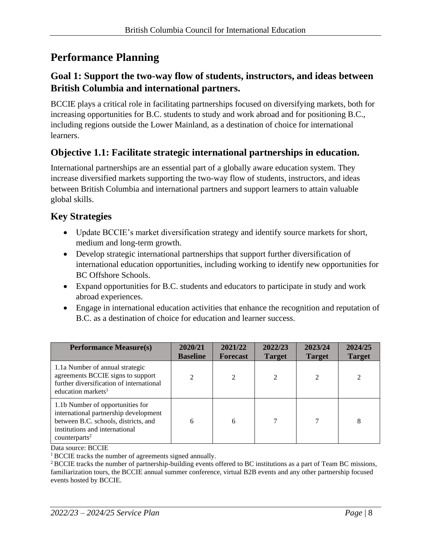# <span id="page-7-0"></span>**Performance Planning**

#### **Goal 1: Support the two-way flow of students, instructors, and ideas between British Columbia and international partners.**

BCCIE plays a critical role in facilitating partnerships focused on diversifying markets, both for increasing opportunities for B.C. students to study and work abroad and for positioning B.C., including regions outside the Lower Mainland, as a destination of choice for international learners.

# **Objective 1.1: Facilitate strategic international partnerships in education.**

International partnerships are an essential part of a globally aware education system. They increase diversified markets supporting the two-way flow of students, instructors, and ideas between British Columbia and international partners and support learners to attain valuable global skills.

# **Key Strategies**

- Update BCCIE's market diversification strategy and identify source markets for short, medium and long-term growth.
- Develop strategic international partnerships that support further diversification of international education opportunities, including working to identify new opportunities for BC Offshore Schools.
- Expand opportunities for B.C. students and educators to participate in study and work abroad experiences.
- Engage in international education activities that enhance the recognition and reputation of B.C. as a destination of choice for education and learner success.

| <b>Performance Measure(s)</b>                                                                                                                                                    | 2020/21<br><b>Baseline</b>  | 2021/22<br><b>Forecast</b> | 2022/23<br><b>Target</b> | 2023/24<br><b>Target</b> | 2024/25<br><b>Target</b> |
|----------------------------------------------------------------------------------------------------------------------------------------------------------------------------------|-----------------------------|----------------------------|--------------------------|--------------------------|--------------------------|
| 1.1a Number of annual strategic<br>agreements BCCIE signs to support<br>further diversification of international<br>education markets <sup>1</sup>                               | $\mathcal{D}_{\mathcal{L}}$ |                            | $\mathfrak{D}$           | $\mathfrak{D}$           |                          |
| 1.1b Number of opportunities for<br>international partnership development<br>between B.C. schools, districts, and<br>institutions and international<br>counterparts <sup>2</sup> | 6                           | 6                          |                          |                          | 8                        |

Data source: BCCIE

<sup>1</sup> BCCIE tracks the number of agreements signed annually.

<sup>2</sup> BCCIE tracks the number of partnership-building events offered to BC institutions as a part of Team BC missions, familiarization tours, the BCCIE annual summer conference, virtual B2B events and any other partnership focused events hosted by BCCIE.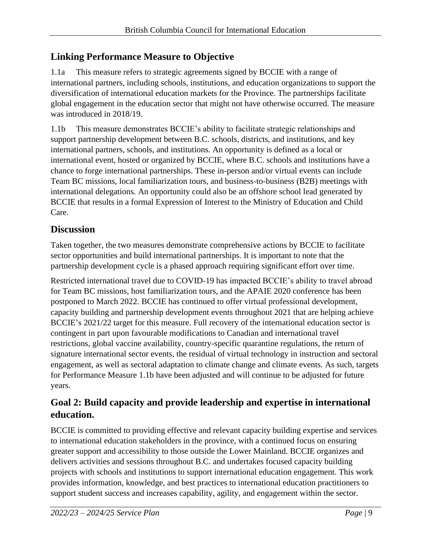#### **Linking Performance Measure to Objective**

1.1a This measure refers to strategic agreements signed by BCCIE with a range of international partners, including schools, institutions, and education organizations to support the diversification of international education markets for the Province. The partnerships facilitate global engagement in the education sector that might not have otherwise occurred. The measure was introduced in 2018/19.

1.1b This measure demonstrates BCCIE's ability to facilitate strategic relationships and support partnership development between B.C. schools, districts, and institutions, and key international partners, schools, and institutions. An opportunity is defined as a local or international event, hosted or organized by BCCIE, where B.C. schools and institutions have a chance to forge international partnerships. These in-person and/or virtual events can include Team BC missions, local familiarization tours, and business-to-business (B2B) meetings with international delegations. An opportunity could also be an offshore school lead generated by BCCIE that results in a formal Expression of Interest to the Ministry of Education and Child Care.

# **Discussion**

Taken together, the two measures demonstrate comprehensive actions by BCCIE to facilitate sector opportunities and build international partnerships. It is important to note that the partnership development cycle is a phased approach requiring significant effort over time.

Restricted international travel due to COVID-19 has impacted BCCIE's ability to travel abroad for Team BC missions, host familiarization tours, and the APAIE 2020 conference has been postponed to March 2022. BCCIE has continued to offer virtual professional development, capacity building and partnership development events throughout 2021 that are helping achieve BCCIE's 2021/22 target for this measure. Full recovery of the international education sector is contingent in part upon favourable modifications to Canadian and international travel restrictions, global vaccine availability, country-specific quarantine regulations, the return of signature international sector events, the residual of virtual technology in instruction and sectoral engagement, as well as sectoral adaptation to climate change and climate events. As such, targets for Performance Measure 1.1b have been adjusted and will continue to be adjusted for future years.

# **Goal 2: Build capacity and provide leadership and expertise in international education.**

BCCIE is committed to providing effective and relevant capacity building expertise and services to international education stakeholders in the province, with a continued focus on ensuring greater support and accessibility to those outside the Lower Mainland. BCCIE organizes and delivers activities and sessions throughout B.C. and undertakes focused capacity building projects with schools and institutions to support international education engagement. This work provides information, knowledge, and best practices to international education practitioners to support student success and increases capability, agility, and engagement within the sector.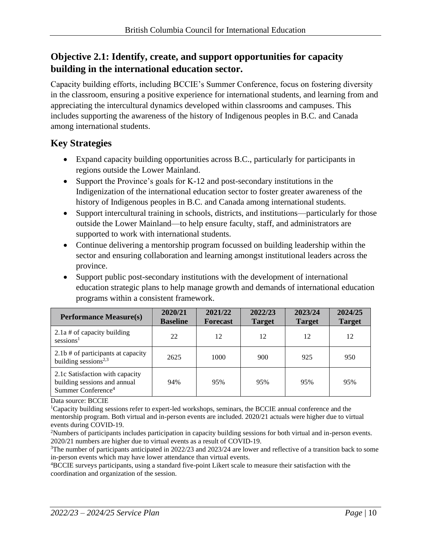# **Objective 2.1: Identify, create, and support opportunities for capacity building in the international education sector.**

Capacity building efforts, including BCCIE's Summer Conference, focus on fostering diversity in the classroom, ensuring a positive experience for international students, and learning from and appreciating the intercultural dynamics developed within classrooms and campuses. This includes supporting the awareness of the history of Indigenous peoples in B.C. and Canada among international students.

# **Key Strategies**

- Expand capacity building opportunities across B.C., particularly for participants in regions outside the Lower Mainland.
- Support the Province's goals for K-12 and post-secondary institutions in the Indigenization of the international education sector to foster greater awareness of the history of Indigenous peoples in B.C. and Canada among international students.
- Support intercultural training in schools, districts, and institutions—particularly for those outside the Lower Mainland—to help ensure faculty, staff, and administrators are supported to work with international students.
- Continue delivering a mentorship program focussed on building leadership within the sector and ensuring collaboration and learning amongst institutional leaders across the province.
- Support public post-secondary institutions with the development of international education strategic plans to help manage growth and demands of international education programs within a consistent framework.

| <b>Performance Measure(s)</b>                                                                     | 2020/21<br><b>Baseline</b> | 2021/22<br><b>Forecast</b> | 2022/23<br><b>Target</b> | 2023/24<br><b>Target</b> | 2024/25<br><b>Target</b> |
|---------------------------------------------------------------------------------------------------|----------------------------|----------------------------|--------------------------|--------------------------|--------------------------|
| 2.1a # of capacity building<br>sessions <sup>1</sup>                                              | 22                         | 12                         | 12                       | 12                       | 12                       |
| 2.1b # of participants at capacity<br>building sessions <sup>2,3</sup>                            | 2625                       | 1000                       | 900                      | 925                      | 950                      |
| 2.1c Satisfaction with capacity<br>building sessions and annual<br>Summer Conference <sup>4</sup> | 94%                        | 95%                        | 95%                      | 95%                      | 95%                      |

Data source: BCCIE

<sup>1</sup>Capacity building sessions refer to expert-led workshops, seminars, the BCCIE annual conference and the mentorship program. Both virtual and in-person events are included. 2020/21 actuals were higher due to virtual events during COVID-19.

<sup>2</sup>Numbers of participants includes participation in capacity building sessions for both virtual and in-person events. 2020/21 numbers are higher due to virtual events as a result of COVID-19.

<sup>3</sup>The number of participants anticipated in 2022/23 and 2023/24 are lower and reflective of a transition back to some in-person events which may have lower attendance than virtual events.

<sup>4</sup>BCCIE surveys participants, using a standard five-point Likert scale to measure their satisfaction with the coordination and organization of the session.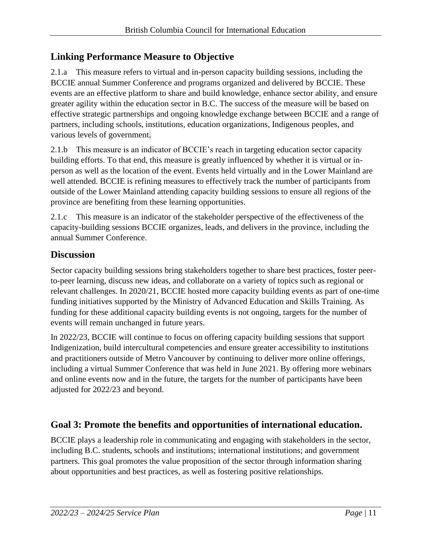# **Linking Performance Measure to Objective**

2.1.a This measure refers to virtual and in-person capacity building sessions, including the BCCIE annual Summer Conference and programs organized and delivered by BCCIE. These events are an effective platform to share and build knowledge, enhance sector ability, and ensure greater agility within the education sector in B.C. The success of the measure will be based on effective strategic partnerships and ongoing knowledge exchange between BCCIE and a range of partners, including schools, institutions, education organizations, Indigenous peoples, and various levels of government.

2.1.b This measure is an indicator of BCCIE's reach in targeting education sector capacity building efforts. To that end, this measure is greatly influenced by whether it is virtual or inperson as well as the location of the event. Events held virtually and in the Lower Mainland are well attended. BCCIE is refining measures to effectively track the number of participants from outside of the Lower Mainland attending capacity building sessions to ensure all regions of the province are benefiting from these learning opportunities.

2.1.c This measure is an indicator of the stakeholder perspective of the effectiveness of the capacity-building sessions BCCIE organizes, leads, and delivers in the province, including the annual Summer Conference.

# **Discussion**

Sector capacity building sessions bring stakeholders together to share best practices, foster peerto-peer learning, discuss new ideas, and collaborate on a variety of topics such as regional or relevant challenges. In 2020/21, BCCIE hosted more capacity building events as part of one-time funding initiatives supported by the Ministry of Advanced Education and Skills Training. As funding for these additional capacity building events is not ongoing, targets for the number of events will remain unchanged in future years.

In 2022/23, BCCIE will continue to focus on offering capacity building sessions that support Indigenization, build intercultural competencies and ensure greater accessibility to institutions and practitioners outside of Metro Vancouver by continuing to deliver more online offerings, including a virtual Summer Conference that was held in June 2021. By offering more webinars and online events now and in the future, the targets for the number of participants have been adjusted for 2022/23 and beyond.

# **Goal 3: Promote the benefits and opportunities of international education.**

BCCIE plays a leadership role in communicating and engaging with stakeholders in the sector, including B.C. students, schools and institutions; international institutions; and government partners. This goal promotes the value proposition of the sector through information sharing about opportunities and best practices, as well as fostering positive relationships.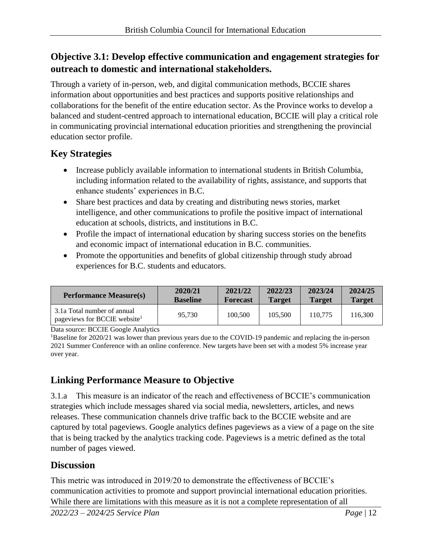# **Objective 3.1: Develop effective communication and engagement strategies for outreach to domestic and international stakeholders.**

Through a variety of in-person, web, and digital communication methods, BCCIE shares information about opportunities and best practices and supports positive relationships and collaborations for the benefit of the entire education sector. As the Province works to develop a balanced and student-centred approach to international education, BCCIE will play a critical role in communicating provincial international education priorities and strengthening the provincial education sector profile.

# **Key Strategies**

- Increase publicly available information to international students in British Columbia, including information related to the availability of rights, assistance, and supports that enhance students' experiences in B.C.
- Share best practices and data by creating and distributing news stories, market intelligence, and other communications to profile the positive impact of international education at schools, districts, and institutions in B.C.
- Profile the impact of international education by sharing success stories on the benefits and economic impact of international education in B.C. communities.
- Promote the opportunities and benefits of global citizenship through study abroad experiences for B.C. students and educators.

| <b>Performance Measure(s)</b>                                           | 2020/21         | 2021/22  | 2022/23       | 2023/24       | 2024/25       |
|-------------------------------------------------------------------------|-----------------|----------|---------------|---------------|---------------|
|                                                                         | <b>Baseline</b> | Forecast | <b>Target</b> | <b>Target</b> | <b>Target</b> |
| 3.1a Total number of annual<br>pageviews for BCCIE website <sup>1</sup> | 95.730          | 100,500  | 105,500       | 110.775       | 116.300       |

Data source: BCCIE Google Analytics

<sup>1</sup>Baseline for 2020/21 was lower than previous years due to the COVID-19 pandemic and replacing the in-person 2021 Summer Conference with an online conference. New targets have been set with a modest 5% increase year over year.

# **Linking Performance Measure to Objective**

3.1.a This measure is an indicator of the reach and effectiveness of BCCIE's communication strategies which include messages shared via social media, newsletters, articles, and news releases. These communication channels drive traffic back to the BCCIE website and are captured by total pageviews. Google analytics defines pageviews as a view of a page on the site that is being tracked by the analytics tracking code. Pageviews is a metric defined as the total number of pages viewed.

# **Discussion**

This metric was introduced in 2019/20 to demonstrate the effectiveness of BCCIE's communication activities to promote and support provincial international education priorities. While there are limitations with this measure as it is not a complete representation of all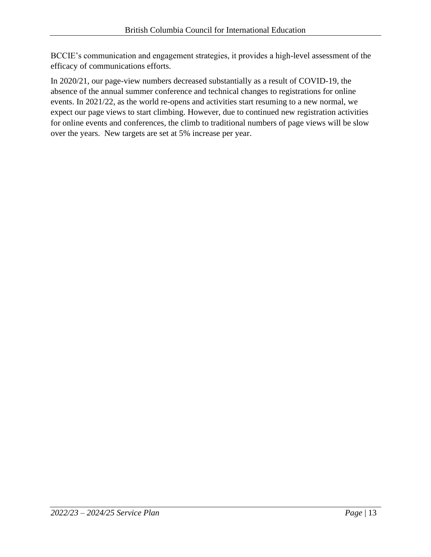BCCIE's communication and engagement strategies, it provides a high-level assessment of the efficacy of communications efforts.

In 2020/21, our page-view numbers decreased substantially as a result of COVID-19, the absence of the annual summer conference and technical changes to registrations for online events. In 2021/22, as the world re-opens and activities start resuming to a new normal, we expect our page views to start climbing. However, due to continued new registration activities for online events and conferences, the climb to traditional numbers of page views will be slow over the years. New targets are set at 5% increase per year.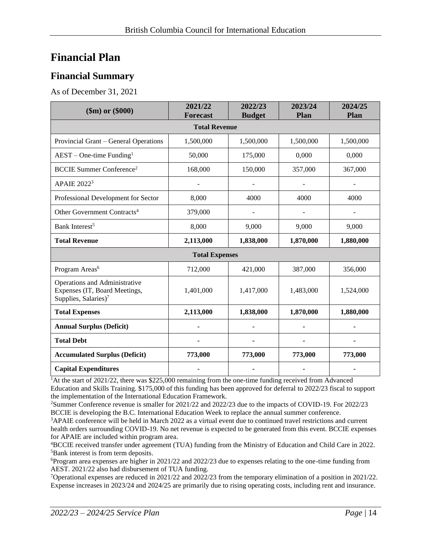# <span id="page-13-0"></span>**Financial Plan**

# <span id="page-13-1"></span>**Financial Summary**

As of December 31, 2021

| $$m)$ or $$000$                                                                                    | 2021/22<br><b>Forecast</b> | 2022/23<br><b>Budget</b> | 2023/24<br>Plan | 2024/25<br>Plan |  |  |  |
|----------------------------------------------------------------------------------------------------|----------------------------|--------------------------|-----------------|-----------------|--|--|--|
| <b>Total Revenue</b>                                                                               |                            |                          |                 |                 |  |  |  |
| Provincial Grant - General Operations                                                              | 1,500,000                  | 1,500,000                | 1,500,000       | 1,500,000       |  |  |  |
| $AEST - One-time Funding1$                                                                         | 50,000                     | 175,000                  | 0,000           | 0,000           |  |  |  |
| <b>BCCIE Summer Conference<sup>2</sup></b>                                                         | 168,000                    | 150,000                  | 357,000         | 367,000         |  |  |  |
| <b>APAIE 2022<sup>3</sup></b>                                                                      |                            |                          |                 |                 |  |  |  |
| Professional Development for Sector                                                                | 8,000                      | 4000                     | 4000            | 4000            |  |  |  |
| Other Government Contracts <sup>4</sup>                                                            | 379,000                    |                          |                 |                 |  |  |  |
| Bank Interest <sup>5</sup>                                                                         | 8,000                      | 9,000                    | 9,000           | 9,000           |  |  |  |
| <b>Total Revenue</b>                                                                               | 2,113,000                  | 1,838,000                | 1,870,000       | 1,880,000       |  |  |  |
| <b>Total Expenses</b>                                                                              |                            |                          |                 |                 |  |  |  |
| Program Areas <sup>6</sup>                                                                         | 712,000                    | 421,000                  | 387,000         | 356,000         |  |  |  |
| Operations and Administrative<br>Expenses (IT, Board Meetings,<br>Supplies, Salaries) <sup>7</sup> | 1,401,000                  | 1,417,000                | 1,483,000       | 1,524,000       |  |  |  |
| <b>Total Expenses</b>                                                                              | 2,113,000                  | 1,838,000                | 1,870,000       | 1,880,000       |  |  |  |
| <b>Annual Surplus (Deficit)</b>                                                                    |                            |                          |                 |                 |  |  |  |
| <b>Total Debt</b>                                                                                  |                            |                          |                 |                 |  |  |  |
| <b>Accumulated Surplus (Deficit)</b>                                                               | 773,000                    | 773,000                  | 773,000         | 773,000         |  |  |  |
| <b>Capital Expenditures</b>                                                                        |                            |                          |                 |                 |  |  |  |

<sup>1</sup>At the start of 2021/22, there was \$225,000 remaining from the one-time funding received from Advanced Education and Skills Training. \$175,000 of this funding has been approved for deferral to 2022/23 fiscal to support the implementation of the International Education Framework.

<sup>2</sup>Summer Conference revenue is smaller for 2021/22 and 2022/23 due to the impacts of COVID-19. For 2022/23 BCCIE is developing the B.C. International Education Week to replace the annual summer conference.

<sup>3</sup>APAIE conference will be held in March 2022 as a virtual event due to continued travel restrictions and current health orders surrounding COVID-19. No net revenue is expected to be generated from this event. BCCIE expenses for APAIE are included within program area.

<sup>4</sup>BCCIE received transfer under agreement (TUA) funding from the Ministry of Education and Child Care in 2022. <sup>5</sup>Bank interest is from term deposits.

<sup>6</sup>Program area expenses are higher in 2021/22 and 2022/23 due to expenses relating to the one-time funding from AEST. 2021/22 also had disbursement of TUA funding.

<sup>7</sup>Operational expenses are reduced in 2021/22 and 2022/23 from the temporary elimination of a position in 2021/22. Expense increases in 2023/24 and 2024/25 are primarily due to rising operating costs, including rent and insurance.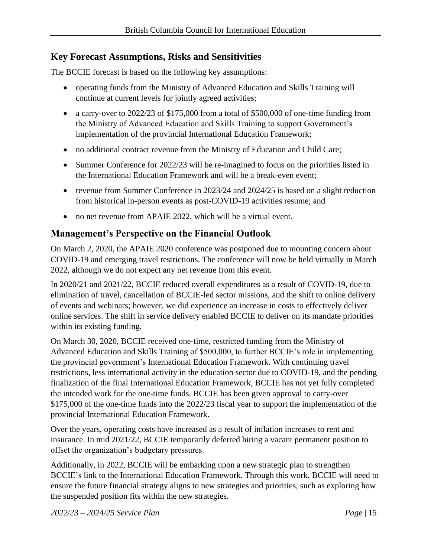#### <span id="page-14-0"></span>**Key Forecast Assumptions, Risks and Sensitivities**

The BCCIE forecast is based on the following key assumptions:

- operating funds from the Ministry of Advanced Education and Skills Training will continue at current levels for jointly agreed activities;
- a carry-over to 2022/23 of \$175,000 from a total of \$500,000 of one-time funding from the Ministry of Advanced Education and Skills Training to support Government's implementation of the provincial International Education Framework;
- no additional contract revenue from the Ministry of Education and Child Care;
- Summer Conference for 2022/23 will be re-imagined to focus on the priorities listed in the International Education Framework and will be a break-even event;
- revenue from Summer Conference in 2023/24 and 2024/25 is based on a slight reduction from historical in-person events as post-COVID-19 activities resume; and
- no net revenue from APAIE 2022, which will be a virtual event.

# <span id="page-14-1"></span>**Management's Perspective on the Financial Outlook**

On March 2, 2020, the APAIE 2020 conference was postponed due to mounting concern about COVID-19 and emerging travel restrictions. The conference will now be held virtually in March 2022, although we do not expect any net revenue from this event.

In 2020/21 and 2021/22, BCCIE reduced overall expenditures as a result of COVID-19, due to elimination of travel, cancellation of BCCIE-led sector missions, and the shift to online delivery of events and webinars; however, we did experience an increase in costs to effectively deliver online services. The shift in service delivery enabled BCCIE to deliver on its mandate priorities within its existing funding.

On March 30, 2020, BCCIE received one-time, restricted funding from the Ministry of Advanced Education and Skills Training of \$500,000, to further BCCIE's role in implementing the provincial government's International Education Framework. With continuing travel restrictions, less international activity in the education sector due to COVID-19, and the pending finalization of the final International Education Framework, BCCIE has not yet fully completed the intended work for the one-time funds. BCCIE has been given approval to carry-over \$175,000 of the one-time funds into the 2022/23 fiscal year to support the implementation of the provincial International Education Framework.

Over the years, operating costs have increased as a result of inflation increases to rent and insurance. In mid 2021/22, BCCIE temporarily deferred hiring a vacant permanent position to offset the organization's budgetary pressures.

Additionally, in 2022, BCCIE will be embarking upon a new strategic plan to strengthen BCCIE's link to the International Education Framework. Through this work, BCCIE will need to ensure the future financial strategy aligns to new strategies and priorities, such as exploring how the suspended position fits within the new strategies.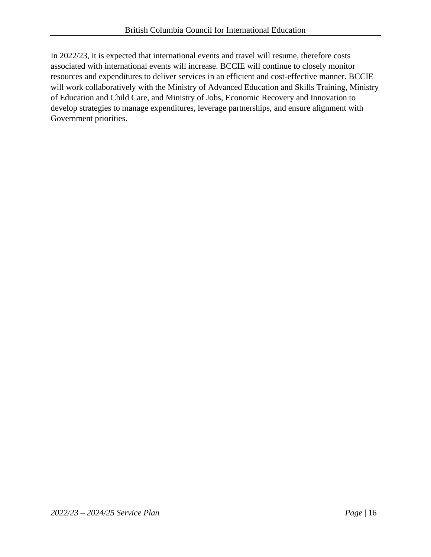In 2022/23, it is expected that international events and travel will resume, therefore costs associated with international events will increase. BCCIE will continue to closely monitor resources and expenditures to deliver services in an efficient and cost-effective manner. BCCIE will work collaboratively with the Ministry of Advanced Education and Skills Training, Ministry of Education and Child Care, and Ministry of Jobs, Economic Recovery and Innovation to develop strategies to manage expenditures, leverage partnerships, and ensure alignment with Government priorities.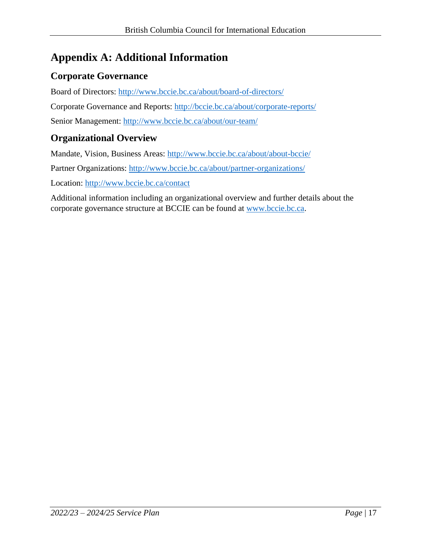# <span id="page-16-0"></span>**Appendix A: Additional Information**

# **Corporate Governance**

Board of Directors:<http://www.bccie.bc.ca/about/board-of-directors/>

Corporate Governance and Reports:<http://bccie.bc.ca/about/corporate-reports/>

Senior Management:<http://www.bccie.bc.ca/about/our-team/>

#### **Organizational Overview**

Mandate, Vision, Business Areas:<http://www.bccie.bc.ca/about/about-bccie/>

Partner Organizations:<http://www.bccie.bc.ca/about/partner-organizations/>

Location:<http://www.bccie.bc.ca/contact>

Additional information including an organizational overview and further details about the corporate governance structure at BCCIE can be found at [www.bccie.bc.ca.](http://www.bccie.bc.ca/)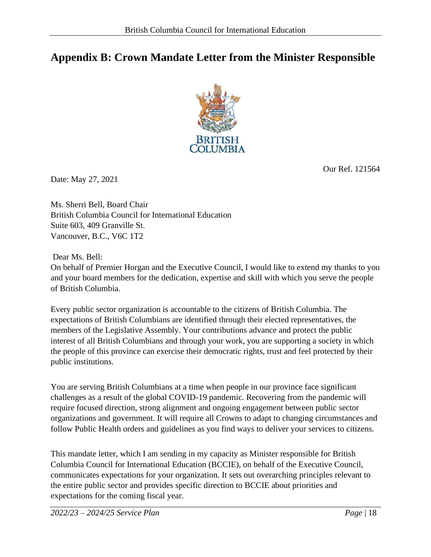# <span id="page-17-0"></span>**Appendix B: Crown Mandate Letter from the Minister Responsible**



Our Ref. 121564

Date: May 27, 2021

Ms. Sherri Bell, Board Chair British Columbia Council for International Education Suite 603, 409 Granville St. Vancouver, B.C., V6C 1T2

Dear Ms. Bell:

On behalf of Premier Horgan and the Executive Council, I would like to extend my thanks to you and your board members for the dedication, expertise and skill with which you serve the people of British Columbia.

Every public sector organization is accountable to the citizens of British Columbia. The expectations of British Columbians are identified through their elected representatives, the members of the Legislative Assembly. Your contributions advance and protect the public interest of all British Columbians and through your work, you are supporting a society in which the people of this province can exercise their democratic rights, trust and feel protected by their public institutions.

You are serving British Columbians at a time when people in our province face significant challenges as a result of the global COVID-19 pandemic. Recovering from the pandemic will require focused direction, strong alignment and ongoing engagement between public sector organizations and government. It will require all Crowns to adapt to changing circumstances and follow Public Health orders and guidelines as you find ways to deliver your services to citizens.

This mandate letter, which I am sending in my capacity as Minister responsible for British Columbia Council for International Education (BCCIE), on behalf of the Executive Council, communicates expectations for your organization. It sets out overarching principles relevant to the entire public sector and provides specific direction to BCCIE about priorities and expectations for the coming fiscal year.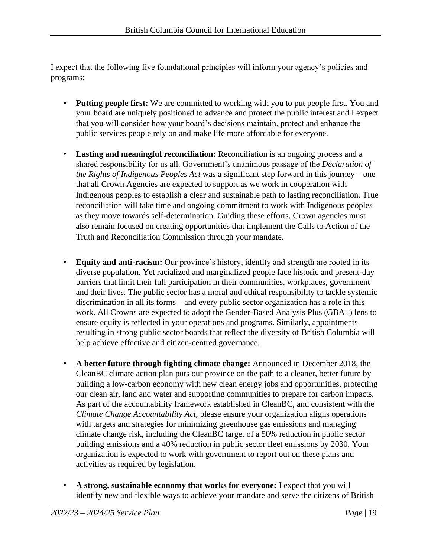I expect that the following five foundational principles will inform your agency's policies and programs:

- **Putting people first:** We are committed to working with you to put people first. You and your board are uniquely positioned to advance and protect the public interest and I expect that you will consider how your board's decisions maintain, protect and enhance the public services people rely on and make life more affordable for everyone.
- **Lasting and meaningful reconciliation:** Reconciliation is an ongoing process and a shared responsibility for us all. Government's unanimous passage of the *Declaration of the Rights of Indigenous Peoples Act* was a significant step forward in this journey – one that all Crown Agencies are expected to support as we work in cooperation with Indigenous peoples to establish a clear and sustainable path to lasting reconciliation. True reconciliation will take time and ongoing commitment to work with Indigenous peoples as they move towards self-determination. Guiding these efforts, Crown agencies must also remain focused on creating opportunities that implement the Calls to Action of the Truth and Reconciliation Commission through your mandate.
- **Equity and anti-racism:** Our province's history, identity and strength are rooted in its diverse population. Yet racialized and marginalized people face historic and present-day barriers that limit their full participation in their communities, workplaces, government and their lives. The public sector has a moral and ethical responsibility to tackle systemic discrimination in all its forms – and every public sector organization has a role in this work. All Crowns are expected to adopt the Gender-Based Analysis Plus (GBA+) lens to ensure equity is reflected in your operations and programs. Similarly, appointments resulting in strong public sector boards that reflect the diversity of British Columbia will help achieve effective and citizen-centred governance.
- **A better future through fighting climate change:** Announced in December 2018, the CleanBC climate action plan puts our province on the path to a cleaner, better future by building a low-carbon economy with new clean energy jobs and opportunities, protecting our clean air, land and water and supporting communities to prepare for carbon impacts. As part of the accountability framework established in CleanBC, and consistent with the *Climate Change Accountability Act*, please ensure your organization aligns operations with targets and strategies for minimizing greenhouse gas emissions and managing climate change risk, including the CleanBC target of a 50% reduction in public sector building emissions and a 40% reduction in public sector fleet emissions by 2030. Your organization is expected to work with government to report out on these plans and activities as required by legislation.
- **A strong, sustainable economy that works for everyone:** I expect that you will identify new and flexible ways to achieve your mandate and serve the citizens of British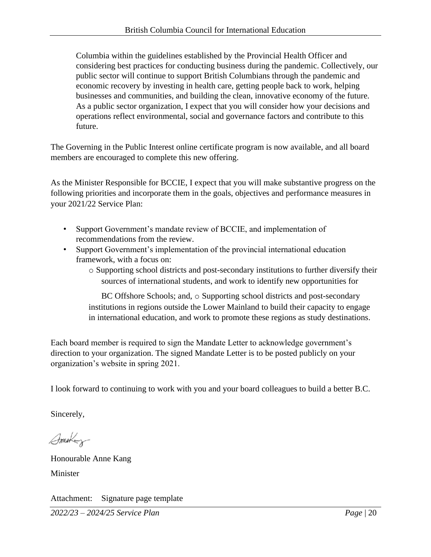Columbia within the guidelines established by the Provincial Health Officer and considering best practices for conducting business during the pandemic. Collectively, our public sector will continue to support British Columbians through the pandemic and economic recovery by investing in health care, getting people back to work, helping businesses and communities, and building the clean, innovative economy of the future. As a public sector organization, I expect that you will consider how your decisions and operations reflect environmental, social and governance factors and contribute to this future.

The Governing in the Public Interest online certificate program is now available, and all board members are encouraged to complete this new offering.

As the Minister Responsible for BCCIE, I expect that you will make substantive progress on the following priorities and incorporate them in the goals, objectives and performance measures in your 2021/22 Service Plan:

- Support Government's mandate review of BCCIE, and implementation of recommendations from the review.
- Support Government's implementation of the provincial international education framework, with a focus on:
	- o Supporting school districts and post-secondary institutions to further diversify their sources of international students, and work to identify new opportunities for

BC Offshore Schools; and,  $\circ$  Supporting school districts and post-secondary institutions in regions outside the Lower Mainland to build their capacity to engage in international education, and work to promote these regions as study destinations.

Each board member is required to sign the Mandate Letter to acknowledge government's direction to your organization. The signed Mandate Letter is to be posted publicly on your organization's website in spring 2021.

I look forward to continuing to work with you and your board colleagues to build a better B.C.

Sincerely,

Smekey

Honourable Anne Kang Minister

Attachment: Signature page template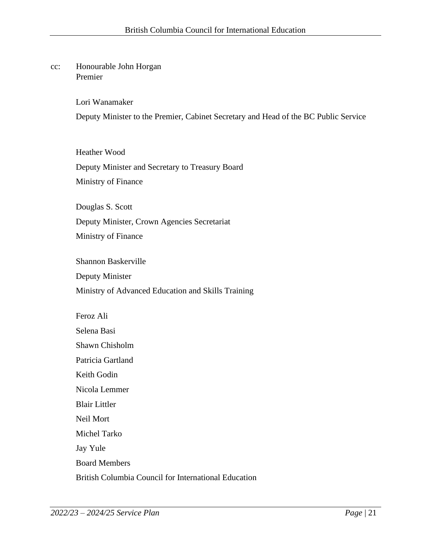#### cc: Honourable John Horgan Premier

Lori Wanamaker Deputy Minister to the Premier, Cabinet Secretary and Head of the BC Public Service

Heather Wood Deputy Minister and Secretary to Treasury Board Ministry of Finance

Douglas S. Scott Deputy Minister, Crown Agencies Secretariat Ministry of Finance

Shannon Baskerville

Deputy Minister

Ministry of Advanced Education and Skills Training

Feroz Ali

Selena Basi

Shawn Chisholm

Patricia Gartland

Keith Godin

Nicola Lemmer

Blair Littler

Neil Mort

Michel Tarko

Jay Yule

Board Members

British Columbia Council for International Education